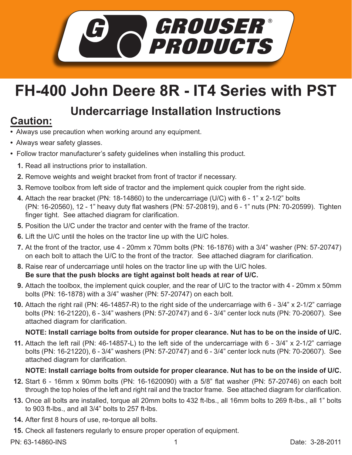

## **FH-400 John Deere 8R - IT4 Series with PST**

# **Undercarriage Installation Instructions Caution:**

- Always use precaution when working around any equipment.
- Always wear safety glasses.
- Follow tractor manufacturer's safety guidelines when installing this product.
	- **1.** Read all instructions prior to installation.
	- 2. Remove weights and weight bracket from front of tractor if necessary.
	- **3.** Remove toolbox from left side of tractor and the implement quick coupler from the right side.
	- Attach the rear bracket (PN: 18-14860) to the undercarriage (U/C) with 6 1" x 2-1/2" bolts **4.** (PN: 16-20560), 12 - 1" heavy duty flat washers (PN: 57-20819), and 6 - 1" nuts (PN: 70-20599). Tighten finger tight. See attached diagram for clarification.
	- **5.** Position the U/C under the tractor and center with the frame of the tractor.
	- **6.** Lift the U/C until the holes on the tractor line up with the U/C holes.
	- At the front of the tractor, use 4 20mm x 70mm bolts (PN: 16-1876) with a 3/4" washer (PN: 57-20747) **7.** on each bolt to attach the U/C to the front of the tractor. See attached diagram for clarification.
	- Raise rear of undercarriage until holes on the tractor line up with the U/C holes. **8. Be sure that the push blocks are tight against bolt heads at rear of U/C.**
	- Attach the toolbox, the implement quick coupler, and the rear of U/C to the tractor with 4 20mm x 50mm **9.** bolts (PN: 16-1878) with a 3/4" washer (PN: 57-20747) on each bolt.
	- Attach the right rail (PN: 46-14857-R) to the right side of the undercarriage with 6 3/4" x 2-1/2" carriage **10.** bolts (PN: 16-21220), 6 - 3/4" washers (PN: 57-20747) and 6 - 3/4" center lock nuts (PN: 70-20607). See attached diagram for clarification.

## **NOTE: Install carriage bolts from outside for proper clearance. Nut has to be on the inside of U/C.**

Attach the left rail (PN: 46-14857-L) to the left side of the undercarriage with 6 - 3/4" x 2-1/2" carriage **11.** bolts (PN: 16-21220), 6 - 3/4" washers (PN: 57-20747) and 6 - 3/4" center lock nuts (PN: 70-20607). See attached diagram for clarification.

## **NOTE: Install carriage bolts from outside for proper clearance. Nut has to be on the inside of U/C.**

- **12.** Start 6 16mm x 90mm bolts (PN: 16-1620090) with a 5/8" flat washer (PN: 57-20746) on each bolt through the top holes of the left and right rail and the tractor frame. See attached diagram for clarification.
- **13.** Once all bolts are installed, torque all 20mm bolts to 432 ft-lbs., all 16mm bolts to 269 ft-lbs., all 1" bolts to 903 ft-lbs., and all 3/4" bolts to 257 ft-lbs.
- After first 8 hours of use, re-torque all bolts. **14.**
- **15.** Check all fasteners regularly to ensure proper operation of equipment.